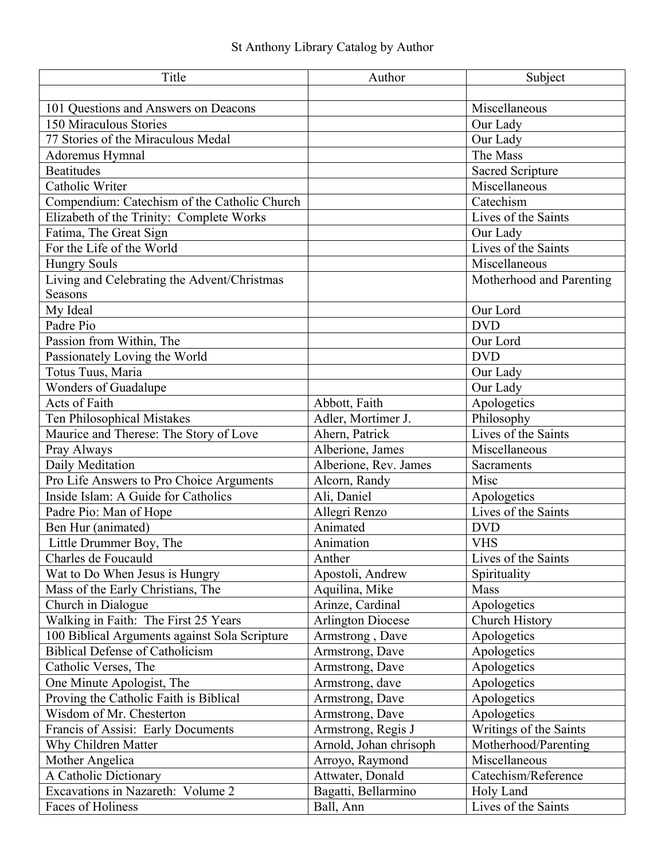## St Anthony Library Catalog by Author

| Title                                         | Author                   | Subject                  |
|-----------------------------------------------|--------------------------|--------------------------|
|                                               |                          |                          |
| 101 Questions and Answers on Deacons          |                          | Miscellaneous            |
| 150 Miraculous Stories                        |                          | Our Lady                 |
| 77 Stories of the Miraculous Medal            |                          | Our Lady                 |
| Adoremus Hymnal                               |                          | The Mass                 |
| <b>Beatitudes</b>                             |                          | <b>Sacred Scripture</b>  |
| Catholic Writer                               |                          | Miscellaneous            |
| Compendium: Catechism of the Catholic Church  |                          | Catechism                |
| Elizabeth of the Trinity: Complete Works      |                          | Lives of the Saints      |
| Fatima, The Great Sign                        |                          | Our Lady                 |
| For the Life of the World                     |                          | Lives of the Saints      |
| <b>Hungry Souls</b>                           |                          | Miscellaneous            |
| Living and Celebrating the Advent/Christmas   |                          | Motherhood and Parenting |
| Seasons                                       |                          |                          |
| My Ideal                                      |                          | Our Lord                 |
| Padre Pio                                     |                          | <b>DVD</b>               |
| Passion from Within, The                      |                          | Our Lord                 |
| Passionately Loving the World                 |                          | <b>DVD</b>               |
| Totus Tuus, Maria                             |                          | Our Lady                 |
| Wonders of Guadalupe                          |                          | Our Lady                 |
| <b>Acts of Faith</b>                          | Abbott, Faith            | Apologetics              |
| Ten Philosophical Mistakes                    | Adler, Mortimer J.       | Philosophy               |
| Maurice and Therese: The Story of Love        | Ahern, Patrick           | Lives of the Saints      |
| Pray Always                                   | Alberione, James         | Miscellaneous            |
| Daily Meditation                              | Alberione, Rev. James    | Sacraments               |
| Pro Life Answers to Pro Choice Arguments      | Alcorn, Randy            | Misc                     |
| Inside Islam: A Guide for Catholics           | Ali, Daniel              | Apologetics              |
| Padre Pio: Man of Hope                        | Allegri Renzo            | Lives of the Saints      |
| Ben Hur (animated)                            | Animated                 | <b>DVD</b>               |
| Little Drummer Boy, The                       | Animation                | <b>VHS</b>               |
| Charles de Foucauld                           | Anther                   | Lives of the Saints      |
| Wat to Do When Jesus is Hungry                | Apostoli, Andrew         | Spirituality             |
| Mass of the Early Christians, The             | Aquilina, Mike           | Mass                     |
| Church in Dialogue                            | Arinze, Cardinal         | Apologetics              |
| Walking in Faith: The First 25 Years          | <b>Arlington Diocese</b> | Church History           |
| 100 Biblical Arguments against Sola Scripture | Armstrong, Dave          | Apologetics              |
| <b>Biblical Defense of Catholicism</b>        | Armstrong, Dave          | Apologetics              |
| Catholic Verses, The                          | Armstrong, Dave          | Apologetics              |
| One Minute Apologist, The                     | Armstrong, dave          | Apologetics              |
| Proving the Catholic Faith is Biblical        | Armstrong, Dave          | Apologetics              |
| Wisdom of Mr. Chesterton                      | Armstrong, Dave          | Apologetics              |
| Francis of Assisi: Early Documents            | Armstrong, Regis J       | Writings of the Saints   |
| Why Children Matter                           | Arnold, Johan chrisoph   | Motherhood/Parenting     |
| Mother Angelica                               | Arroyo, Raymond          | Miscellaneous            |
| A Catholic Dictionary                         | Attwater, Donald         | Catechism/Reference      |
| Excavations in Nazareth: Volume 2             | Bagatti, Bellarmino      | Holy Land                |
| Faces of Holiness                             | Ball, Ann                | Lives of the Saints      |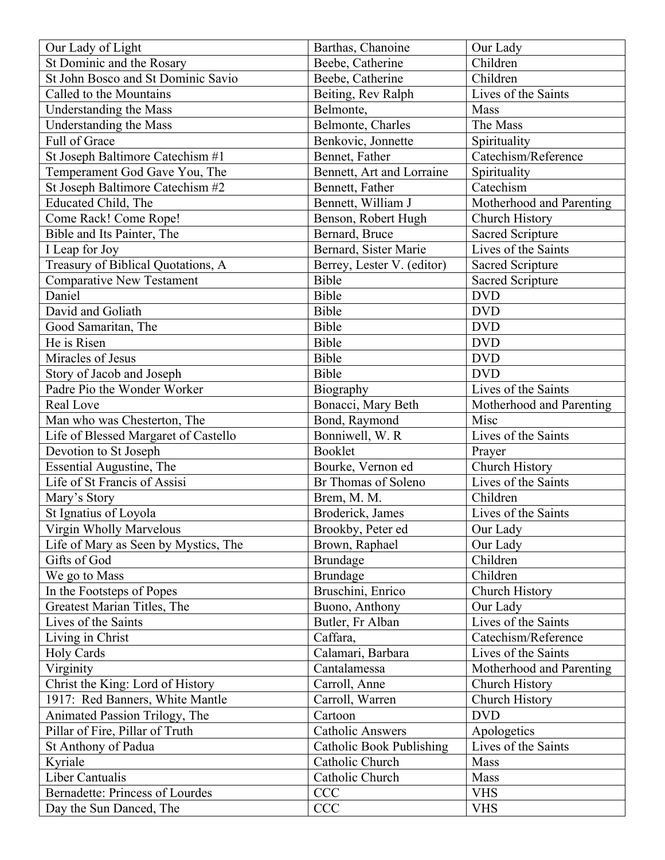| Our Lady of Light                                        | Barthas, Chanoine               | Our Lady                 |
|----------------------------------------------------------|---------------------------------|--------------------------|
| St Dominic and the Rosary                                | Beebe, Catherine                | Children                 |
| St John Bosco and St Dominic Savio                       | Beebe, Catherine                | Children                 |
| Called to the Mountains                                  | Beiting, Rev Ralph              | Lives of the Saints      |
| Understanding the Mass                                   | Belmonte,                       | Mass                     |
| Understanding the Mass                                   | Belmonte, Charles               | The Mass                 |
| Full of Grace                                            | Benkovic, Jonnette              | Spirituality             |
| St Joseph Baltimore Catechism #1                         | Bennet, Father                  | Catechism/Reference      |
| Temperament God Gave You, The                            | Bennett, Art and Lorraine       | Spirituality             |
| St Joseph Baltimore Catechism #2                         | Bennett, Father                 | Catechism                |
| Educated Child, The                                      | Bennett, William J              | Motherhood and Parenting |
| Come Rack! Come Rope!                                    | Benson, Robert Hugh             | Church History           |
| Bible and Its Painter, The                               | Bernard, Bruce                  | <b>Sacred Scripture</b>  |
| I Leap for Joy                                           | Bernard, Sister Marie           | Lives of the Saints      |
| Treasury of Biblical Quotations, A                       | Berrey, Lester V. (editor)      | Sacred Scripture         |
| Comparative New Testament                                | Bible                           | <b>Sacred Scripture</b>  |
| Daniel                                                   | Bible                           | <b>DVD</b>               |
| David and Goliath                                        | Bible                           | <b>DVD</b>               |
| Good Samaritan, The                                      | Bible                           | <b>DVD</b>               |
| He is Risen                                              | Bible                           | <b>DVD</b>               |
| Miracles of Jesus                                        | Bible                           | <b>DVD</b>               |
| Story of Jacob and Joseph                                | Bible                           | <b>DVD</b>               |
| Padre Pio the Wonder Worker                              | Biography                       | Lives of the Saints      |
| Real Love                                                | Bonacci, Mary Beth              | Motherhood and Parenting |
| Man who was Chesterton, The                              | Bond, Raymond                   | Misc                     |
| Life of Blessed Margaret of Castello                     | Bonniwell, W. R                 | Lives of the Saints      |
| Devotion to St Joseph                                    | Booklet                         | Prayer                   |
|                                                          | Bourke, Vernon ed               | Church History           |
| Essential Augustine, The<br>Life of St Francis of Assisi | Br Thomas of Soleno             | Lives of the Saints      |
|                                                          |                                 | Children                 |
| Mary's Story                                             | Brem, M. M.                     | Lives of the Saints      |
| St Ignatius of Loyola<br>Virgin Wholly Marvelous         | Broderick, James                |                          |
|                                                          |                                 |                          |
|                                                          | Brookby, Peter ed               | Our Lady                 |
| Life of Mary as Seen by Mystics, The                     | Brown, Raphael                  | Our Lady                 |
| Gifts of God                                             | <b>Brundage</b>                 | Children                 |
| We go to Mass                                            | Brundage                        | Children                 |
| In the Footsteps of Popes                                | Bruschini, Enrico               | Church History           |
| Greatest Marian Titles, The                              | Buono, Anthony                  | Our Lady                 |
| Lives of the Saints                                      | Butler, Fr Alban                | Lives of the Saints      |
| Living in Christ                                         | Caffara,                        | Catechism/Reference      |
| Holy Cards                                               | Calamari, Barbara               | Lives of the Saints      |
| Virginity                                                | Cantalamessa                    | Motherhood and Parenting |
| Christ the King: Lord of History                         | Carroll, Anne                   | Church History           |
| 1917: Red Banners, White Mantle                          | Carroll, Warren                 | Church History           |
| Animated Passion Trilogy, The                            | Cartoon                         | <b>DVD</b>               |
| Pillar of Fire, Pillar of Truth                          | <b>Catholic Answers</b>         | Apologetics              |
| St Anthony of Padua                                      | <b>Catholic Book Publishing</b> | Lives of the Saints      |
| Kyriale                                                  | Catholic Church                 | Mass                     |
| Liber Cantualis                                          | Catholic Church                 | Mass                     |
| <b>Bernadette: Princess of Lourdes</b>                   | <b>CCC</b>                      | <b>VHS</b>               |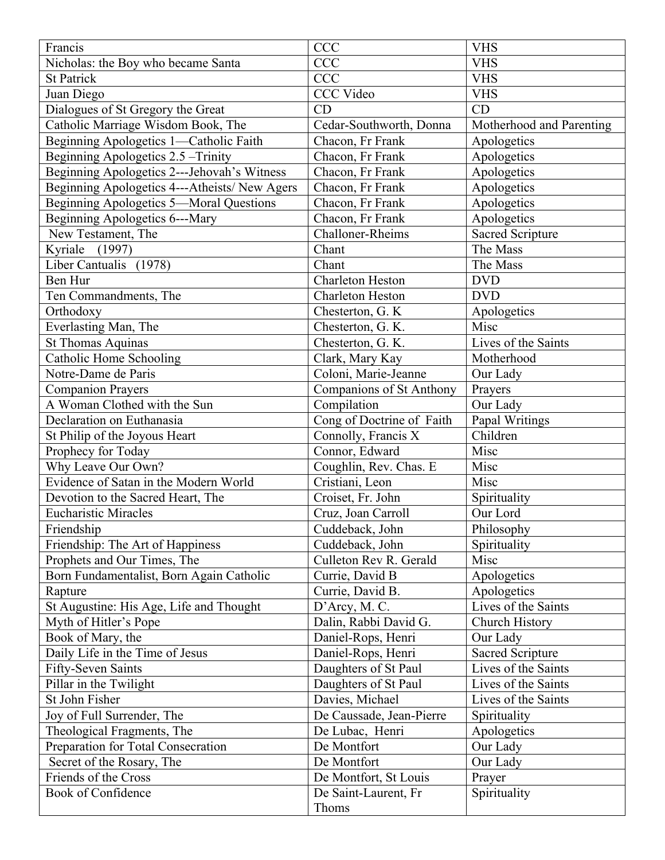| Francis                                        | <b>CCC</b>                | <b>VHS</b>               |
|------------------------------------------------|---------------------------|--------------------------|
| Nicholas: the Boy who became Santa             | <b>CCC</b>                | <b>VHS</b>               |
| <b>St Patrick</b>                              | <b>CCC</b>                | <b>VHS</b>               |
| Juan Diego                                     | <b>CCC Video</b>          | <b>VHS</b>               |
| Dialogues of St Gregory the Great              | CD                        | CD                       |
| Catholic Marriage Wisdom Book, The             | Cedar-Southworth, Donna   | Motherhood and Parenting |
| Beginning Apologetics 1-Catholic Faith         | Chacon, Fr Frank          | Apologetics              |
| Beginning Apologetics 2.5 - Trinity            | Chacon, Fr Frank          | Apologetics              |
| Beginning Apologetics 2---Jehovah's Witness    | Chacon, Fr Frank          | Apologetics              |
| Beginning Apologetics 4---Atheists/ New Agers  | Chacon, Fr Frank          | Apologetics              |
| <b>Beginning Apologetics 5-Moral Questions</b> | Chacon, Fr Frank          | Apologetics              |
| Beginning Apologetics 6---Mary                 | Chacon, Fr Frank          | Apologetics              |
| New Testament, The                             | Challoner-Rheims          | <b>Sacred Scripture</b>  |
| Kyriale (1997)                                 | Chant                     | The Mass                 |
| Liber Cantualis (1978)                         | Chant                     | The Mass                 |
| Ben Hur                                        | <b>Charleton Heston</b>   | <b>DVD</b>               |
| Ten Commandments, The                          | <b>Charleton Heston</b>   | <b>DVD</b>               |
| Orthodoxy                                      | Chesterton, G. K.         | Apologetics              |
| Everlasting Man, The                           | Chesterton, G. K.         | Misc                     |
| <b>St Thomas Aquinas</b>                       | Chesterton, G. K.         | Lives of the Saints      |
| Catholic Home Schooling                        | Clark, Mary Kay           | Motherhood               |
| Notre-Dame de Paris                            | Coloni, Marie-Jeanne      | Our Lady                 |
| <b>Companion Prayers</b>                       | Companions of St Anthony  | Prayers                  |
| A Woman Clothed with the Sun                   | Compilation               | Our Lady                 |
| Declaration on Euthanasia                      | Cong of Doctrine of Faith | Papal Writings           |
| St Philip of the Joyous Heart                  | Connolly, Francis X       | Children                 |
| Prophecy for Today                             | Connor, Edward            | Misc                     |
| Why Leave Our Own?                             | Coughlin, Rev. Chas. E    | Misc                     |
| Evidence of Satan in the Modern World          | Cristiani, Leon           | Misc                     |
| Devotion to the Sacred Heart, The              | Croiset, Fr. John         | Spirituality             |
| <b>Eucharistic Miracles</b>                    | Cruz, Joan Carroll        | Our Lord                 |
| Friendship                                     | Cuddeback, John           | Philosophy               |
| Friendship: The Art of Happiness               | Cuddeback, John           | Spirituality             |
| Prophets and Our Times, The                    | Culleton Rev R. Gerald    | Misc                     |
| Born Fundamentalist, Born Again Catholic       | Currie, David B           | Apologetics              |
| Rapture                                        | Currie, David B.          | Apologetics              |
| St Augustine: His Age, Life and Thought        | D'Arcy, M. C.             | Lives of the Saints      |
| Myth of Hitler's Pope                          | Dalin, Rabbi David G.     | Church History           |
| Book of Mary, the                              | Daniel-Rops, Henri        | Our Lady                 |
| Daily Life in the Time of Jesus                | Daniel-Rops, Henri        | <b>Sacred Scripture</b>  |
| Fifty-Seven Saints                             | Daughters of St Paul      | Lives of the Saints      |
| Pillar in the Twilight                         | Daughters of St Paul      | Lives of the Saints      |
| St John Fisher                                 | Davies, Michael           | Lives of the Saints      |
| Joy of Full Surrender, The                     | De Caussade, Jean-Pierre  | Spirituality             |
| Theological Fragments, The                     | De Lubac, Henri           | Apologetics              |
| Preparation for Total Consecration             | De Montfort               | Our Lady                 |
| Secret of the Rosary, The                      | De Montfort               | Our Lady                 |
| Friends of the Cross                           | De Montfort, St Louis     | Prayer                   |
| <b>Book of Confidence</b>                      | De Saint-Laurent, Fr      | Spirituality             |
|                                                | Thoms                     |                          |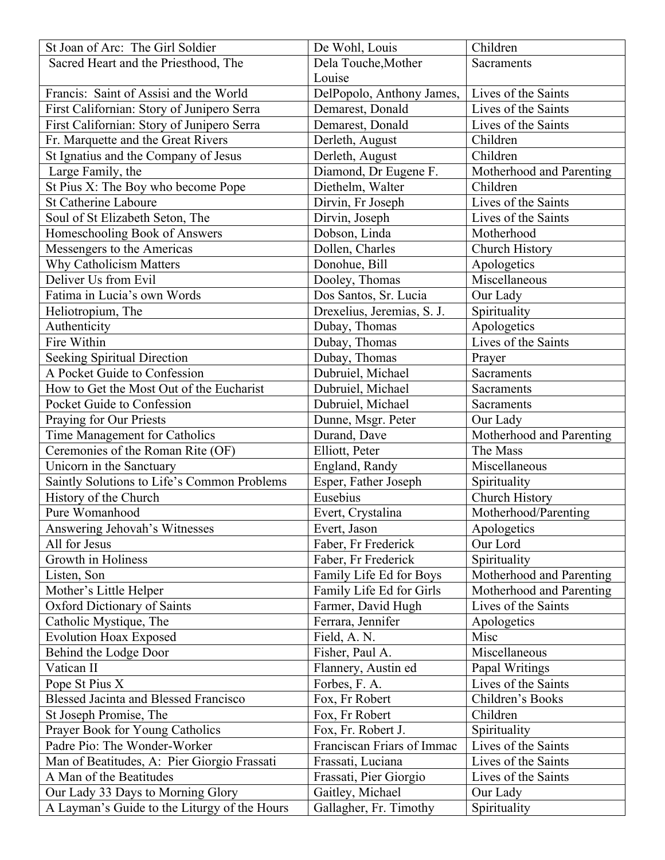| St Joan of Arc: The Girl Soldier             | De Wohl, Louis             | Children                 |
|----------------------------------------------|----------------------------|--------------------------|
| Sacred Heart and the Priesthood, The         | Dela Touche, Mother        | Sacraments               |
|                                              | Louise                     |                          |
| Francis: Saint of Assisi and the World       | DelPopolo, Anthony James,  | Lives of the Saints      |
| First Californian: Story of Junipero Serra   | Demarest, Donald           | Lives of the Saints      |
| First Californian: Story of Junipero Serra   | Demarest, Donald           | Lives of the Saints      |
| Fr. Marquette and the Great Rivers           | Derleth, August            | Children                 |
| St Ignatius and the Company of Jesus         | Derleth, August            | Children                 |
| Large Family, the                            | Diamond, Dr Eugene F.      | Motherhood and Parenting |
| St Pius X: The Boy who become Pope           | Diethelm, Walter           | Children                 |
| <b>St Catherine Laboure</b>                  | Dirvin, Fr Joseph          | Lives of the Saints      |
| Soul of St Elizabeth Seton, The              | Dirvin, Joseph             | Lives of the Saints      |
| Homeschooling Book of Answers                | Dobson, Linda              | Motherhood               |
| Messengers to the Americas                   | Dollen, Charles            | Church History           |
| Why Catholicism Matters                      | Donohue, Bill              | Apologetics              |
| Deliver Us from Evil                         | Dooley, Thomas             | Miscellaneous            |
| Fatima in Lucia's own Words                  | Dos Santos, Sr. Lucia      | Our Lady                 |
| Heliotropium, The                            | Drexelius, Jeremias, S. J. | Spirituality             |
| Authenticity                                 | Dubay, Thomas              | Apologetics              |
| Fire Within                                  | Dubay, Thomas              | Lives of the Saints      |
| Seeking Spiritual Direction                  | Dubay, Thomas              | Prayer                   |
| A Pocket Guide to Confession                 | Dubruiel, Michael          | Sacraments               |
| How to Get the Most Out of the Eucharist     | Dubruiel, Michael          | Sacraments               |
| Pocket Guide to Confession                   | Dubruiel, Michael          | Sacraments               |
| Praying for Our Priests                      | Dunne, Msgr. Peter         | Our Lady                 |
| Time Management for Catholics                | Durand, Dave               | Motherhood and Parenting |
| Ceremonies of the Roman Rite (OF)            | Elliott, Peter             | The Mass                 |
| Unicorn in the Sanctuary                     | England, Randy             | Miscellaneous            |
| Saintly Solutions to Life's Common Problems  | Esper, Father Joseph       | Spirituality             |
| History of the Church                        | Eusebius                   | Church History           |
| Pure Womanhood                               | Evert, Crystalina          | Motherhood/Parenting     |
| Answering Jehovah's Witnesses                | Evert, Jason               | Apologetics              |
| All for Jesus                                | Faber, Fr Frederick        | Our Lord                 |
| Growth in Holiness                           | Faber, Fr Frederick        | Spirituality             |
| Listen, Son                                  | Family Life Ed for Boys    | Motherhood and Parenting |
| Mother's Little Helper                       | Family Life Ed for Girls   | Motherhood and Parenting |
| <b>Oxford Dictionary of Saints</b>           | Farmer, David Hugh         | Lives of the Saints      |
| Catholic Mystique, The                       | Ferrara, Jennifer          | Apologetics              |
| <b>Evolution Hoax Exposed</b>                | Field, A. N.               | Misc                     |
| Behind the Lodge Door                        | Fisher, Paul A.            | Miscellaneous            |
| Vatican II                                   | Flannery, Austin ed        | Papal Writings           |
| Pope St Pius X                               | Forbes, F. A.              | Lives of the Saints      |
| <b>Blessed Jacinta and Blessed Francisco</b> | Fox, Fr Robert             | Children's Books         |
| St Joseph Promise, The                       | Fox, Fr Robert             | Children                 |
| Prayer Book for Young Catholics              | Fox, Fr. Robert J.         | Spirituality             |
| Padre Pio: The Wonder-Worker                 | Franciscan Friars of Immac | Lives of the Saints      |
| Man of Beatitudes, A: Pier Giorgio Frassati  | Frassati, Luciana          | Lives of the Saints      |
| A Man of the Beatitudes                      | Frassati, Pier Giorgio     | Lives of the Saints      |
| Our Lady 33 Days to Morning Glory            | Gaitley, Michael           | Our Lady                 |
| A Layman's Guide to the Liturgy of the Hours | Gallagher, Fr. Timothy     | Spirituality             |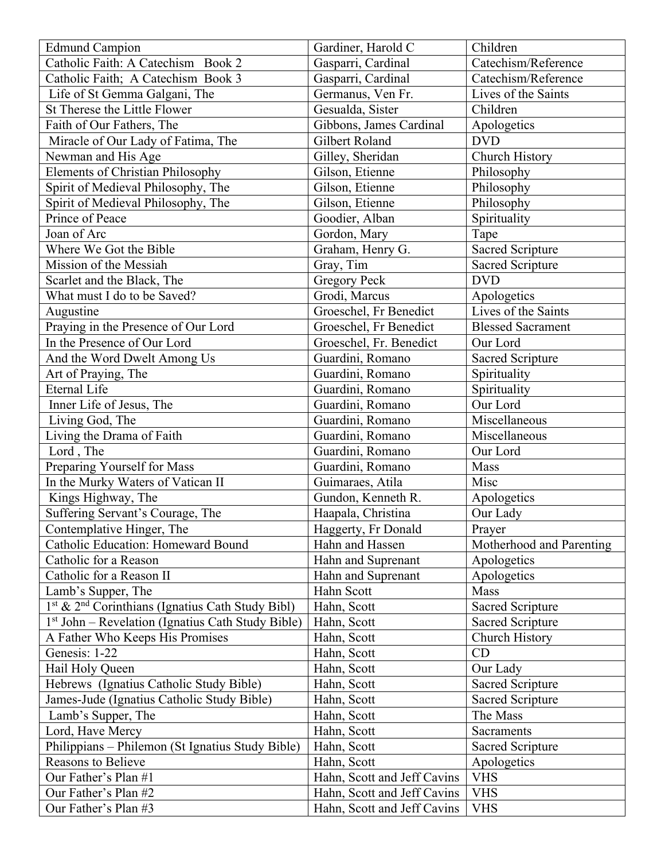| <b>Edmund Campion</b>                                                    | Gardiner, Harold C          | Children                 |
|--------------------------------------------------------------------------|-----------------------------|--------------------------|
| Catholic Faith: A Catechism Book 2                                       | Gasparri, Cardinal          | Catechism/Reference      |
| Catholic Faith; A Catechism Book 3                                       | Gasparri, Cardinal          | Catechism/Reference      |
| Life of St Gemma Galgani, The                                            | Germanus, Ven Fr.           | Lives of the Saints      |
| St Therese the Little Flower                                             | Gesualda, Sister            | Children                 |
| Faith of Our Fathers, The                                                | Gibbons, James Cardinal     | Apologetics              |
| Miracle of Our Lady of Fatima, The                                       | Gilbert Roland              | <b>DVD</b>               |
| Newman and His Age                                                       | Gilley, Sheridan            | Church History           |
| <b>Elements of Christian Philosophy</b>                                  | Gilson, Etienne             | Philosophy               |
| Spirit of Medieval Philosophy, The                                       | Gilson, Etienne             | Philosophy               |
| Spirit of Medieval Philosophy, The                                       | Gilson, Etienne             | Philosophy               |
| Prince of Peace                                                          | Goodier, Alban              | Spirituality             |
| Joan of Arc                                                              | Gordon, Mary                | Tape                     |
| Where We Got the Bible                                                   | Graham, Henry G.            | <b>Sacred Scripture</b>  |
| Mission of the Messiah                                                   | Gray, Tim                   | Sacred Scripture         |
| Scarlet and the Black, The                                               | <b>Gregory Peck</b>         | <b>DVD</b>               |
| What must I do to be Saved?                                              | Grodi, Marcus               | Apologetics              |
| Augustine                                                                | Groeschel, Fr Benedict      | Lives of the Saints      |
| Praying in the Presence of Our Lord                                      | Groeschel, Fr Benedict      | <b>Blessed Sacrament</b> |
| In the Presence of Our Lord                                              | Groeschel, Fr. Benedict     | Our Lord                 |
| And the Word Dwelt Among Us                                              | Guardini, Romano            | Sacred Scripture         |
|                                                                          | Guardini, Romano            | Spirituality             |
| Art of Praying, The<br><b>Eternal Life</b>                               | Guardini, Romano            |                          |
| Inner Life of Jesus, The                                                 | Guardini, Romano            | Spirituality<br>Our Lord |
|                                                                          |                             |                          |
| Living God, The                                                          | Guardini, Romano            | Miscellaneous            |
| Living the Drama of Faith                                                | Guardini, Romano            | Miscellaneous            |
| Lord, The                                                                | Guardini, Romano            | Our Lord                 |
| Preparing Yourself for Mass                                              | Guardini, Romano            | Mass                     |
| In the Murky Waters of Vatican II                                        | Guimaraes, Atila            | Misc                     |
| Kings Highway, The                                                       | Gundon, Kenneth R.          | Apologetics              |
| Suffering Servant's Courage, The                                         | Haapala, Christina          | Our Lady                 |
| Contemplative Hinger, The                                                | Haggerty, Fr Donald         | Prayer                   |
| Catholic Education: Homeward Bound                                       | Hahn and Hassen             | Motherhood and Parenting |
| Catholic for a Reason                                                    | Hahn and Suprenant          | Apologetics              |
| Catholic for a Reason II                                                 | Hahn and Suprenant          | Apologetics              |
| Lamb's Supper, The                                                       | Hahn Scott                  | Mass                     |
| 1 <sup>st</sup> & 2 <sup>nd</sup> Corinthians (Ignatius Cath Study Bibl) | Hahn, Scott                 | Sacred Scripture         |
| 1 <sup>st</sup> John – Revelation (Ignatius Cath Study Bible)            | Hahn, Scott                 | <b>Sacred Scripture</b>  |
| A Father Who Keeps His Promises                                          | Hahn, Scott                 | Church History           |
| Genesis: 1-22                                                            | Hahn, Scott                 | CD                       |
| Hail Holy Queen                                                          | Hahn, Scott                 | Our Lady                 |
| Hebrews (Ignatius Catholic Study Bible)                                  | Hahn, Scott                 | <b>Sacred Scripture</b>  |
| James-Jude (Ignatius Catholic Study Bible)                               | Hahn, Scott                 | <b>Sacred Scripture</b>  |
| Lamb's Supper, The                                                       | Hahn, Scott                 | The Mass                 |
| Lord, Have Mercy                                                         | Hahn, Scott                 | Sacraments               |
| Philippians – Philemon (St Ignatius Study Bible)                         | Hahn, Scott                 | <b>Sacred Scripture</b>  |
| Reasons to Believe                                                       | Hahn, Scott                 | Apologetics              |
| Our Father's Plan #1                                                     | Hahn, Scott and Jeff Cavins | <b>VHS</b>               |
| Our Father's Plan #2                                                     | Hahn, Scott and Jeff Cavins | <b>VHS</b>               |
| Our Father's Plan #3                                                     | Hahn, Scott and Jeff Cavins | <b>VHS</b>               |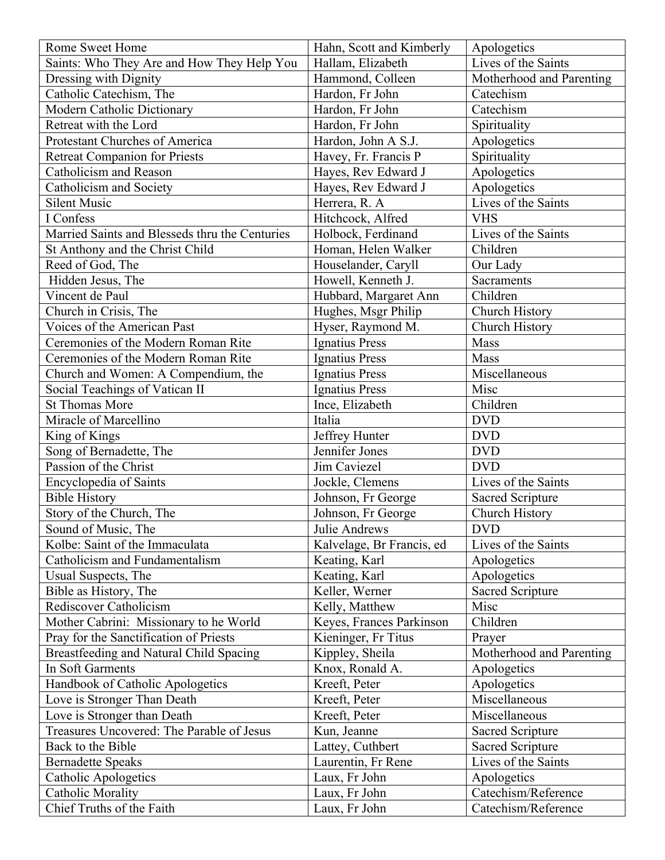| Rome Sweet Home                                | Hahn, Scott and Kimberly  | Apologetics              |
|------------------------------------------------|---------------------------|--------------------------|
| Saints: Who They Are and How They Help You     | Hallam, Elizabeth         | Lives of the Saints      |
| Dressing with Dignity                          | Hammond, Colleen          | Motherhood and Parenting |
| Catholic Catechism, The                        | Hardon, Fr John           | Catechism                |
| Modern Catholic Dictionary                     | Hardon, Fr John           | Catechism                |
| Retreat with the Lord                          | Hardon, Fr John           | Spirituality             |
| Protestant Churches of America                 | Hardon, John A S.J.       | Apologetics              |
| <b>Retreat Companion for Priests</b>           | Havey, Fr. Francis P      | Spirituality             |
| Catholicism and Reason                         | Hayes, Rev Edward J       | Apologetics              |
| Catholicism and Society                        | Hayes, Rev Edward J       | Apologetics              |
| <b>Silent Music</b>                            | Herrera, R. A             | Lives of the Saints      |
| I Confess                                      | Hitchcock, Alfred         | <b>VHS</b>               |
| Married Saints and Blesseds thru the Centuries | Holbock, Ferdinand        | Lives of the Saints      |
| St Anthony and the Christ Child                | Homan, Helen Walker       | Children                 |
| Reed of God, The                               | Houselander, Caryll       | Our Lady                 |
| Hidden Jesus, The                              | Howell, Kenneth J.        | <b>Sacraments</b>        |
| Vincent de Paul                                | Hubbard, Margaret Ann     | Children                 |
| Church in Crisis, The                          | Hughes, Msgr Philip       | Church History           |
| Voices of the American Past                    | Hyser, Raymond M.         | Church History           |
| Ceremonies of the Modern Roman Rite            | <b>Ignatius Press</b>     | Mass                     |
| Ceremonies of the Modern Roman Rite            | Ignatius Press            | Mass                     |
| Church and Women: A Compendium, the            | Ignatius Press            | Miscellaneous            |
| Social Teachings of Vatican II                 | <b>Ignatius Press</b>     | Misc                     |
| <b>St Thomas More</b>                          | Ince, Elizabeth           | Children                 |
| Miracle of Marcellino                          | Italia                    | <b>DVD</b>               |
| King of Kings                                  | Jeffrey Hunter            | <b>DVD</b>               |
| Song of Bernadette, The                        | Jennifer Jones            | <b>DVD</b>               |
| Passion of the Christ                          | Jim Caviezel              | <b>DVD</b>               |
| <b>Encyclopedia of Saints</b>                  | Jockle, Clemens           | Lives of the Saints      |
| <b>Bible History</b>                           | Johnson, Fr George        | <b>Sacred Scripture</b>  |
| Story of the Church, The                       | Johnson, Fr George        | Church History           |
| Sound of Music, The                            | Julie Andrews             | <b>DVD</b>               |
| Kolbe: Saint of the Immaculata                 | Kalvelage, Br Francis, ed | Lives of the Saints      |
| Catholicism and Fundamentalism                 | Keating, Karl             | Apologetics              |
| Usual Suspects, The                            | Keating, Karl             | Apologetics              |
| Bible as History, The                          | Keller, Werner            | <b>Sacred Scripture</b>  |
| Rediscover Catholicism                         | Kelly, Matthew            | Misc                     |
| Mother Cabrini: Missionary to he World         | Keyes, Frances Parkinson  | Children                 |
| Pray for the Sanctification of Priests         | Kieninger, Fr Titus       | Prayer                   |
| Breastfeeding and Natural Child Spacing        | Kippley, Sheila           | Motherhood and Parenting |
| In Soft Garments                               | Knox, Ronald A.           | Apologetics              |
| Handbook of Catholic Apologetics               | Kreeft, Peter             | Apologetics              |
| Love is Stronger Than Death                    | Kreeft, Peter             | Miscellaneous            |
| Love is Stronger than Death                    | Kreeft, Peter             | Miscellaneous            |
| Treasures Uncovered: The Parable of Jesus      | Kun, Jeanne               | <b>Sacred Scripture</b>  |
| Back to the Bible                              | Lattey, Cuthbert          | Sacred Scripture         |
| <b>Bernadette Speaks</b>                       | Laurentin, Fr Rene        | Lives of the Saints      |
| Catholic Apologetics                           | Laux, Fr John             | Apologetics              |
| <b>Catholic Morality</b>                       | Laux, Fr John             | Catechism/Reference      |
| Chief Truths of the Faith                      | Laux, Fr John             | Catechism/Reference      |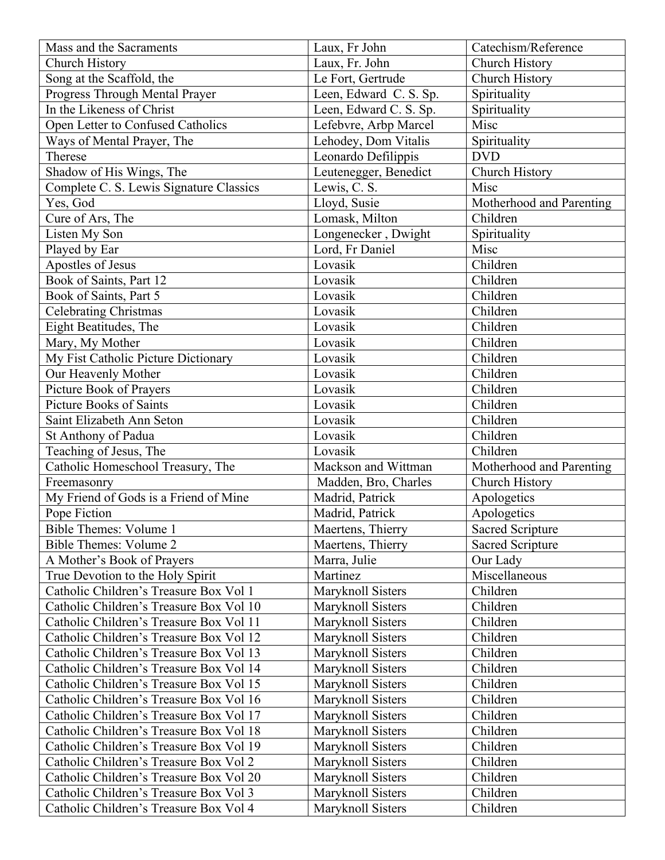| Mass and the Sacraments                 | Laux, Fr John          | Catechism/Reference      |
|-----------------------------------------|------------------------|--------------------------|
| Church History                          | Laux, Fr. John         | Church History           |
| Song at the Scaffold, the               | Le Fort, Gertrude      | Church History           |
| Progress Through Mental Prayer          | Leen, Edward C. S. Sp. | Spirituality             |
| In the Likeness of Christ               | Leen, Edward C. S. Sp. | Spirituality             |
| Open Letter to Confused Catholics       | Lefebvre, Arbp Marcel  | Misc                     |
| Ways of Mental Prayer, The              | Lehodey, Dom Vitalis   | Spirituality             |
| Therese                                 | Leonardo Defilippis    | <b>DVD</b>               |
| Shadow of His Wings, The                | Leutenegger, Benedict  | Church History           |
| Complete C. S. Lewis Signature Classics | Lewis, C. S.           | Misc                     |
| Yes, God                                | Lloyd, Susie           | Motherhood and Parenting |
| Cure of Ars, The                        | Lomask, Milton         | Children                 |
| Listen My Son                           | Longenecker, Dwight    | Spirituality             |
| Played by Ear                           | Lord, Fr Daniel        | Misc                     |
| Apostles of Jesus                       | Lovasik                | Children                 |
| Book of Saints, Part 12                 | Lovasik                | Children                 |
| Book of Saints, Part 5                  | Lovasik                | Children                 |
| <b>Celebrating Christmas</b>            | Lovasik                | Children                 |
| Eight Beatitudes, The                   | Lovasik                | Children                 |
| Mary, My Mother                         | Lovasik                | Children                 |
| My Fist Catholic Picture Dictionary     | Lovasik                | Children                 |
| Our Heavenly Mother                     | Lovasik                | Children                 |
| Picture Book of Prayers                 | Lovasik                | Children                 |
| <b>Picture Books of Saints</b>          | Lovasik                | Children                 |
| Saint Elizabeth Ann Seton               | Lovasik                | Children                 |
| St Anthony of Padua                     | Lovasik                | Children                 |
| Teaching of Jesus, The                  | Lovasik                | Children                 |
| Catholic Homeschool Treasury, The       | Mackson and Wittman    | Motherhood and Parenting |
| Freemasonry                             | Madden, Bro, Charles   | Church History           |
| My Friend of Gods is a Friend of Mine   | Madrid, Patrick        | Apologetics              |
| Pope Fiction                            | Madrid, Patrick        | Apologetics              |
| Bible Themes: Volume 1                  | Maertens, Thierry      | Sacred Scripture         |
| <b>Bible Themes: Volume 2</b>           | Maertens, Thierry      | Sacred Scripture         |
| A Mother's Book of Prayers              | Marra, Julie           | Our Lady                 |
| True Devotion to the Holy Spirit        | Martinez               | Miscellaneous            |
| Catholic Children's Treasure Box Vol 1  | Maryknoll Sisters      | Children                 |
| Catholic Children's Treasure Box Vol 10 | Maryknoll Sisters      | Children                 |
| Catholic Children's Treasure Box Vol 11 | Maryknoll Sisters      | Children                 |
| Catholic Children's Treasure Box Vol 12 | Maryknoll Sisters      | Children                 |
| Catholic Children's Treasure Box Vol 13 | Maryknoll Sisters      | Children                 |
| Catholic Children's Treasure Box Vol 14 | Maryknoll Sisters      | Children                 |
| Catholic Children's Treasure Box Vol 15 | Maryknoll Sisters      | Children                 |
| Catholic Children's Treasure Box Vol 16 | Maryknoll Sisters      | Children                 |
| Catholic Children's Treasure Box Vol 17 | Maryknoll Sisters      | Children                 |
| Catholic Children's Treasure Box Vol 18 | Maryknoll Sisters      | Children                 |
|                                         |                        | Children                 |
| Catholic Children's Treasure Box Vol 19 | Maryknoll Sisters      | Children                 |
| Catholic Children's Treasure Box Vol 2  | Maryknoll Sisters      | Children                 |
| Catholic Children's Treasure Box Vol 20 | Maryknoll Sisters      |                          |
| Catholic Children's Treasure Box Vol 3  | Maryknoll Sisters      | Children                 |
| Catholic Children's Treasure Box Vol 4  | Maryknoll Sisters      | Children                 |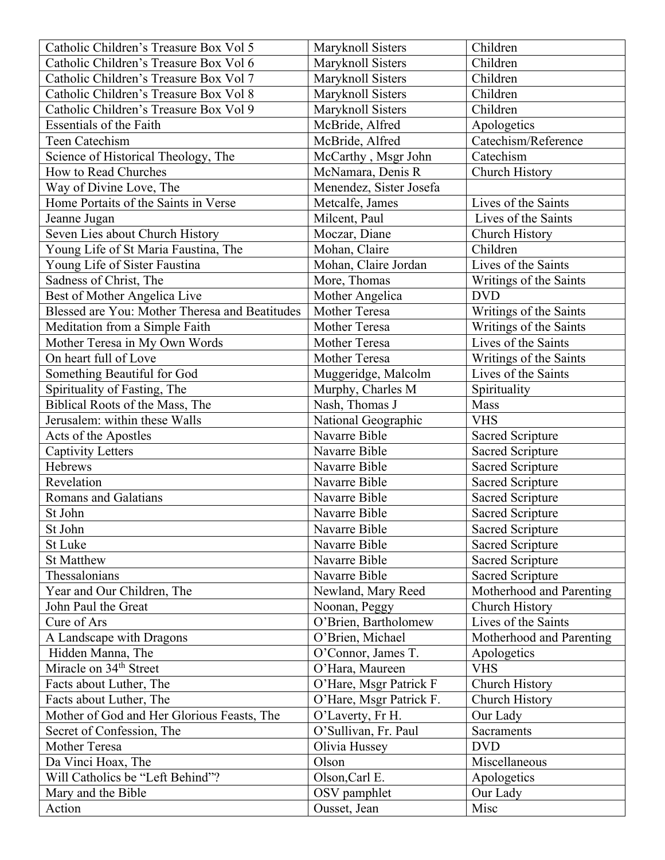| Catholic Children's Treasure Box Vol 5         | Maryknoll Sisters       | Children                 |
|------------------------------------------------|-------------------------|--------------------------|
| Catholic Children's Treasure Box Vol 6         | Maryknoll Sisters       | Children                 |
| Catholic Children's Treasure Box Vol 7         | Maryknoll Sisters       | Children                 |
| Catholic Children's Treasure Box Vol 8         | Maryknoll Sisters       | Children                 |
| Catholic Children's Treasure Box Vol 9         | Maryknoll Sisters       | Children                 |
| <b>Essentials of the Faith</b>                 | McBride, Alfred         | Apologetics              |
| Teen Catechism                                 | McBride, Alfred         | Catechism/Reference      |
| Science of Historical Theology, The            | McCarthy, Msgr John     | Catechism                |
| How to Read Churches                           | McNamara, Denis R       | Church History           |
| Way of Divine Love, The                        | Menendez, Sister Josefa |                          |
| Home Portaits of the Saints in Verse           | Metcalfe, James         | Lives of the Saints      |
| Jeanne Jugan                                   | Milcent, Paul           | Lives of the Saints      |
| Seven Lies about Church History                | Moczar, Diane           | Church History           |
| Young Life of St Maria Faustina, The           | Mohan, Claire           | Children                 |
| Young Life of Sister Faustina                  | Mohan, Claire Jordan    | Lives of the Saints      |
| Sadness of Christ, The                         | More, Thomas            | Writings of the Saints   |
| Best of Mother Angelica Live                   | Mother Angelica         | <b>DVD</b>               |
| Blessed are You: Mother Theresa and Beatitudes | Mother Teresa           | Writings of the Saints   |
| Meditation from a Simple Faith                 | <b>Mother Teresa</b>    | Writings of the Saints   |
| Mother Teresa in My Own Words                  | <b>Mother Teresa</b>    | Lives of the Saints      |
| On heart full of Love                          | Mother Teresa           | Writings of the Saints   |
| Something Beautiful for God                    | Muggeridge, Malcolm     | Lives of the Saints      |
| Spirituality of Fasting, The                   | Murphy, Charles M       | Spirituality             |
| Biblical Roots of the Mass, The                | Nash, Thomas J          | Mass                     |
| Jerusalem: within these Walls                  | National Geographic     | <b>VHS</b>               |
| Acts of the Apostles                           | Navarre Bible           | Sacred Scripture         |
| <b>Captivity Letters</b>                       | Navarre Bible           | <b>Sacred Scripture</b>  |
| Hebrews                                        | Navarre Bible           | <b>Sacred Scripture</b>  |
| Revelation                                     | Navarre Bible           | <b>Sacred Scripture</b>  |
| <b>Romans and Galatians</b>                    | Navarre Bible           | <b>Sacred Scripture</b>  |
| St John                                        | Navarre Bible           | <b>Sacred Scripture</b>  |
| St John                                        | Navarre Bible           | <b>Sacred Scripture</b>  |
| St Luke                                        | Navarre Bible           | <b>Sacred Scripture</b>  |
| <b>St Matthew</b>                              | Navarre Bible           | <b>Sacred Scripture</b>  |
| Thessalonians                                  | Navarre Bible           | <b>Sacred Scripture</b>  |
| Year and Our Children, The                     | Newland, Mary Reed      | Motherhood and Parenting |
| John Paul the Great                            | Noonan, Peggy           | Church History           |
| Cure of Ars                                    | O'Brien, Bartholomew    | Lives of the Saints      |
| A Landscape with Dragons                       | O'Brien, Michael        | Motherhood and Parenting |
| Hidden Manna, The                              | O'Connor, James T.      | Apologetics              |
| Miracle on 34 <sup>th</sup> Street             | O'Hara, Maureen         | <b>VHS</b>               |
| Facts about Luther, The                        | O'Hare, Msgr Patrick F  | <b>Church History</b>    |
| Facts about Luther, The                        | O'Hare, Msgr Patrick F. | Church History           |
| Mother of God and Her Glorious Feasts, The     | O'Laverty, Fr H.        | Our Lady                 |
| Secret of Confession, The                      | O'Sullivan, Fr. Paul    | Sacraments               |
| Mother Teresa                                  | Olivia Hussey           | <b>DVD</b>               |
| Da Vinci Hoax, The                             | Olson                   | Miscellaneous            |
| Will Catholics be "Left Behind"?               | Olson, Carl E.          | Apologetics              |
| Mary and the Bible                             | OSV pamphlet            | Our Lady                 |
| Action                                         | Ousset, Jean            | Misc                     |
|                                                |                         |                          |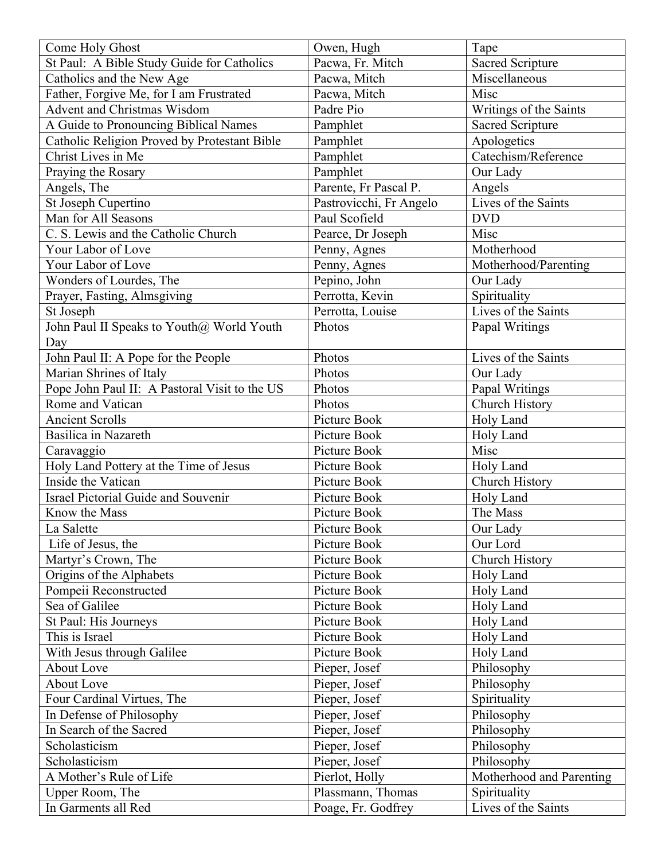| Come Holy Ghost                               | Owen, Hugh              | Tape                     |
|-----------------------------------------------|-------------------------|--------------------------|
| St Paul: A Bible Study Guide for Catholics    | Pacwa, Fr. Mitch        | <b>Sacred Scripture</b>  |
| Catholics and the New Age                     | Pacwa, Mitch            | Miscellaneous            |
| Father, Forgive Me, for I am Frustrated       | Pacwa, Mitch            | Misc                     |
| <b>Advent and Christmas Wisdom</b>            | Padre Pio               | Writings of the Saints   |
| A Guide to Pronouncing Biblical Names         | Pamphlet                | <b>Sacred Scripture</b>  |
| Catholic Religion Proved by Protestant Bible  | Pamphlet                | Apologetics              |
| Christ Lives in Me                            | Pamphlet                | Catechism/Reference      |
| Praying the Rosary                            | Pamphlet                | Our Lady                 |
| Angels, The                                   | Parente, Fr Pascal P.   | Angels                   |
| St Joseph Cupertino                           | Pastrovicchi, Fr Angelo | Lives of the Saints      |
| Man for All Seasons                           | Paul Scofield           | <b>DVD</b>               |
| C. S. Lewis and the Catholic Church           | Pearce, Dr Joseph       | Misc                     |
| Your Labor of Love                            | Penny, Agnes            | Motherhood               |
| Your Labor of Love                            | Penny, Agnes            | Motherhood/Parenting     |
| Wonders of Lourdes, The                       | Pepino, John            | Our Lady                 |
| Prayer, Fasting, Almsgiving                   | Perrotta, Kevin         | Spirituality             |
| St Joseph                                     | Perrotta, Louise        | Lives of the Saints      |
| John Paul II Speaks to Youth@ World Youth     | Photos                  | Papal Writings           |
| Day                                           |                         |                          |
| John Paul II: A Pope for the People           | Photos                  | Lives of the Saints      |
| Marian Shrines of Italy                       | Photos                  | Our Lady                 |
| Pope John Paul II: A Pastoral Visit to the US | Photos                  | Papal Writings           |
| Rome and Vatican                              | Photos                  | Church History           |
| <b>Ancient Scrolls</b>                        | Picture Book            |                          |
| Basilica in Nazareth                          | Picture Book            | Holy Land                |
|                                               | Picture Book            | Holy Land<br>Misc        |
| Caravaggio                                    |                         |                          |
| Holy Land Pottery at the Time of Jesus        | Picture Book            | Holy Land                |
| Inside the Vatican                            | Picture Book            | Church History           |
| <b>Israel Pictorial Guide and Souvenir</b>    | Picture Book            | Holy Land                |
| Know the Mass                                 | Picture Book            | The Mass                 |
| La Salette                                    | Picture Book            | Our Lady                 |
| Life of Jesus, the                            | Picture Book            | Our Lord                 |
| Martyr's Crown, The                           | Picture Book            | Church History           |
| Origins of the Alphabets                      | Picture Book            | Holy Land                |
| Pompeii Reconstructed                         | Picture Book            | Holy Land                |
| Sea of Galilee                                | Picture Book            | Holy Land                |
| St Paul: His Journeys                         | Picture Book            | Holy Land                |
| This is Israel                                | Picture Book            | Holy Land                |
| With Jesus through Galilee                    | Picture Book            | Holy Land                |
| <b>About Love</b>                             | Pieper, Josef           | Philosophy               |
| About Love                                    | Pieper, Josef           | Philosophy               |
| Four Cardinal Virtues, The                    | Pieper, Josef           | Spirituality             |
| In Defense of Philosophy                      | Pieper, Josef           | Philosophy               |
| In Search of the Sacred                       | Pieper, Josef           | Philosophy               |
| Scholasticism                                 | Pieper, Josef           | Philosophy               |
| Scholasticism                                 | Pieper, Josef           | Philosophy               |
| A Mother's Rule of Life                       | Pierlot, Holly          | Motherhood and Parenting |
| Upper Room, The                               | Plassmann, Thomas       | Spirituality             |
| In Garments all Red                           | Poage, Fr. Godfrey      | Lives of the Saints      |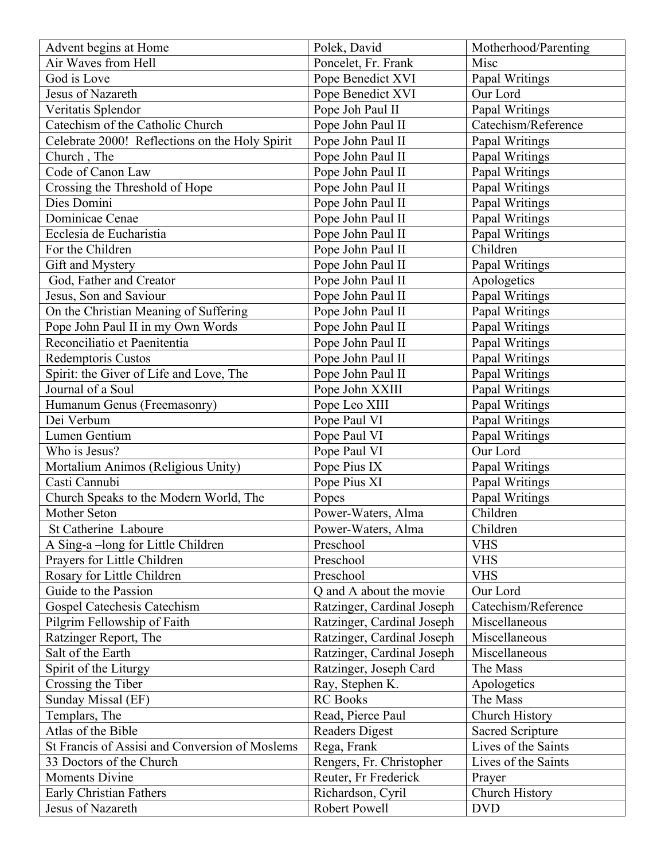| Advent begins at Home                          | Polek, David                       | Motherhood/Parenting    |
|------------------------------------------------|------------------------------------|-------------------------|
| Air Waves from Hell                            | Poncelet, Fr. Frank                | Misc                    |
| God is Love                                    | Pope Benedict XVI                  | Papal Writings          |
| Jesus of Nazareth                              | Pope Benedict XVI                  | Our Lord                |
| Veritatis Splendor                             | Pope Joh Paul II                   | Papal Writings          |
| Catechism of the Catholic Church               | Pope John Paul II                  | Catechism/Reference     |
| Celebrate 2000! Reflections on the Holy Spirit | Pope John Paul II                  | Papal Writings          |
| Church, The                                    | Pope John Paul II                  | Papal Writings          |
| Code of Canon Law                              | Pope John Paul II                  | Papal Writings          |
| Crossing the Threshold of Hope                 | Pope John Paul II                  | Papal Writings          |
| Dies Domini                                    | Pope John Paul II                  | Papal Writings          |
| Dominicae Cenae                                | Pope John Paul II                  | Papal Writings          |
| Ecclesia de Eucharistia                        | Pope John Paul II                  | Papal Writings          |
| For the Children                               | Pope John Paul II                  | Children                |
| Gift and Mystery                               | Pope John Paul II                  | Papal Writings          |
| God, Father and Creator                        | Pope John Paul II                  | Apologetics             |
| Jesus, Son and Saviour                         | Pope John Paul II                  | Papal Writings          |
| On the Christian Meaning of Suffering          | Pope John Paul II                  | Papal Writings          |
| Pope John Paul II in my Own Words              | Pope John Paul II                  | Papal Writings          |
| Reconciliatio et Paenitentia                   | Pope John Paul II                  | Papal Writings          |
| Redemptoris Custos                             | Pope John Paul II                  | Papal Writings          |
| Spirit: the Giver of Life and Love, The        | Pope John Paul II                  | Papal Writings          |
| Journal of a Soul                              | Pope John XXIII                    | Papal Writings          |
| Humanum Genus (Freemasonry)                    | Pope Leo XIII                      | Papal Writings          |
| Dei Verbum                                     | Pope Paul VI                       | Papal Writings          |
| Lumen Gentium                                  | Pope Paul VI                       | Papal Writings          |
| Who is Jesus?                                  | Pope Paul VI                       | Our Lord                |
| Mortalium Animos (Religious Unity)             | Pope Pius IX                       | Papal Writings          |
| Casti Cannubi                                  | Pope Pius XI                       | Papal Writings          |
| Church Speaks to the Modern World, The         | Popes                              | Papal Writings          |
| Mother Seton                                   | Power-Waters, Alma                 | Children                |
| St Catherine Laboure                           | Power-Waters, Alma                 | Children                |
| A Sing-a-long for Little Children              | Preschool                          | <b>VHS</b>              |
| Prayers for Little Children                    | Preschool                          | <b>VHS</b>              |
| Rosary for Little Children                     | Preschool                          | <b>VHS</b>              |
| Guide to the Passion                           | Q and A about the movie            | Our Lord                |
| <b>Gospel Catechesis Catechism</b>             | Ratzinger, Cardinal Joseph         | Catechism/Reference     |
| Pilgrim Fellowship of Faith                    | Ratzinger, Cardinal Joseph         | Miscellaneous           |
| Ratzinger Report, The                          | Ratzinger, Cardinal Joseph         | Miscellaneous           |
| Salt of the Earth                              | Ratzinger, Cardinal Joseph         | Miscellaneous           |
|                                                |                                    | The Mass                |
| Spirit of the Liturgy                          | Ratzinger, Joseph Card             |                         |
| Crossing the Tiber                             | Ray, Stephen K.<br><b>RC</b> Books | Apologetics             |
| Sunday Missal (EF)                             |                                    | The Mass                |
| Templars, The                                  | Read, Pierce Paul                  | Church History          |
| Atlas of the Bible                             | <b>Readers Digest</b>              | <b>Sacred Scripture</b> |
| St Francis of Assisi and Conversion of Moslems | Rega, Frank                        | Lives of the Saints     |
| 33 Doctors of the Church                       | Rengers, Fr. Christopher           | Lives of the Saints     |
| <b>Moments Divine</b>                          | Reuter, Fr Frederick               | Prayer                  |
| Early Christian Fathers                        | Richardson, Cyril                  | Church History          |
| Jesus of Nazareth                              | Robert Powell                      | <b>DVD</b>              |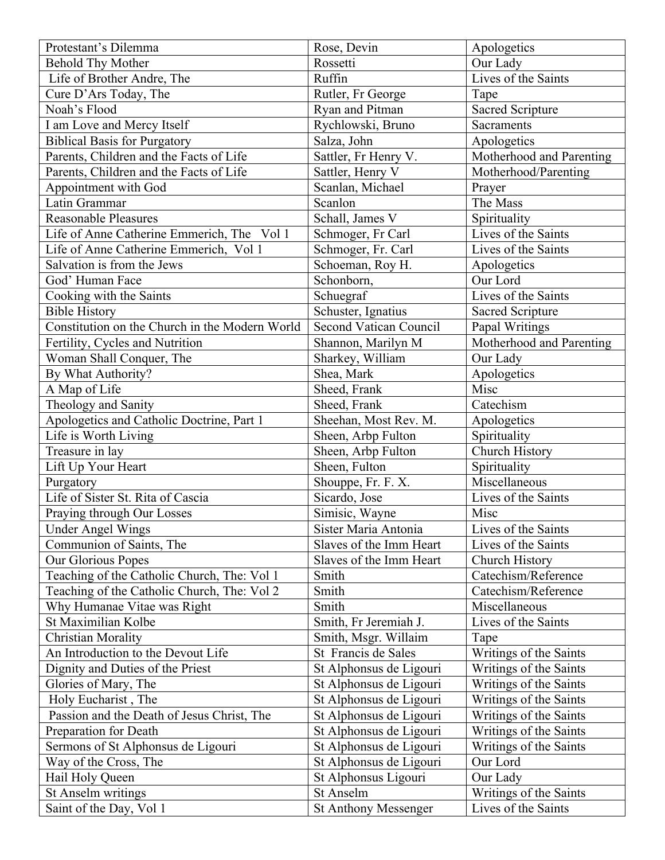| Protestant's Dilemma                           | Rose, Devin                   | Apologetics              |
|------------------------------------------------|-------------------------------|--------------------------|
| <b>Behold Thy Mother</b>                       | Rossetti                      | Our Lady                 |
| Life of Brother Andre, The                     | Ruffin                        | Lives of the Saints      |
| Cure D'Ars Today, The                          | Rutler, Fr George             | Tape                     |
| Noah's Flood                                   | Ryan and Pitman               | <b>Sacred Scripture</b>  |
| I am Love and Mercy Itself                     | Rychlowski, Bruno             | Sacraments               |
| <b>Biblical Basis for Purgatory</b>            | Salza, John                   | Apologetics              |
| Parents, Children and the Facts of Life        | Sattler, Fr Henry V.          | Motherhood and Parenting |
| Parents, Children and the Facts of Life        | Sattler, Henry V              | Motherhood/Parenting     |
| Appointment with God                           | Scanlan, Michael              | Prayer                   |
| Latin Grammar                                  | Scanlon                       | The Mass                 |
| <b>Reasonable Pleasures</b>                    | Schall, James V               | Spirituality             |
| Life of Anne Catherine Emmerich, The Vol 1     | Schmoger, Fr Carl             | Lives of the Saints      |
| Life of Anne Catherine Emmerich, Vol 1         | Schmoger, Fr. Carl            | Lives of the Saints      |
| Salvation is from the Jews                     | Schoeman, Roy H.              | Apologetics              |
| God' Human Face                                | Schonborn,                    | Our Lord                 |
| Cooking with the Saints                        | Schuegraf                     | Lives of the Saints      |
| <b>Bible History</b>                           | Schuster, Ignatius            | Sacred Scripture         |
| Constitution on the Church in the Modern World | <b>Second Vatican Council</b> | Papal Writings           |
| Fertility, Cycles and Nutrition                | Shannon, Marilyn M            | Motherhood and Parenting |
| Woman Shall Conquer, The                       | Sharkey, William              | Our Lady                 |
| By What Authority?                             | Shea, Mark                    | Apologetics              |
| A Map of Life                                  | Sheed, Frank                  | Misc                     |
| Theology and Sanity                            | Sheed, Frank                  | Catechism                |
| Apologetics and Catholic Doctrine, Part 1      | Sheehan, Most Rev. M.         | Apologetics              |
| Life is Worth Living                           | Sheen, Arbp Fulton            | Spirituality             |
| Treasure in lay                                | Sheen, Arbp Fulton            | Church History           |
| Lift Up Your Heart                             | Sheen, Fulton                 | Spirituality             |
| Purgatory                                      | Shouppe, Fr. F. X.            | Miscellaneous            |
| Life of Sister St. Rita of Cascia              | Sicardo, Jose                 | Lives of the Saints      |
| Praying through Our Losses                     | Simisic, Wayne                | Misc                     |
| <b>Under Angel Wings</b>                       | Sister Maria Antonia          | Lives of the Saints      |
| Communion of Saints, The                       | Slaves of the Imm Heart       | Lives of the Saints      |
| Our Glorious Popes                             | Slaves of the Imm Heart       | Church History           |
| Teaching of the Catholic Church, The: Vol 1    | Smith                         | Catechism/Reference      |
| Teaching of the Catholic Church, The: Vol 2    | Smith                         | Catechism/Reference      |
| Why Humanae Vitae was Right                    | Smith                         | Miscellaneous            |
| St Maximilian Kolbe                            | Smith, Fr Jeremiah J.         | Lives of the Saints      |
| <b>Christian Morality</b>                      | Smith, Msgr. Willaim          | Tape                     |
| An Introduction to the Devout Life             | St Francis de Sales           | Writings of the Saints   |
| Dignity and Duties of the Priest               | St Alphonsus de Ligouri       | Writings of the Saints   |
| Glories of Mary, The                           | St Alphonsus de Ligouri       | Writings of the Saints   |
| Holy Eucharist, The                            | St Alphonsus de Ligouri       | Writings of the Saints   |
| Passion and the Death of Jesus Christ, The     | St Alphonsus de Ligouri       | Writings of the Saints   |
| Preparation for Death                          | St Alphonsus de Ligouri       | Writings of the Saints   |
| Sermons of St Alphonsus de Ligouri             | St Alphonsus de Ligouri       | Writings of the Saints   |
| Way of the Cross, The                          | St Alphonsus de Ligouri       | Our Lord                 |
| Hail Holy Queen                                | St Alphonsus Ligouri          | Our Lady                 |
| St Anselm writings                             | St Anselm                     | Writings of the Saints   |
| Saint of the Day, Vol 1                        | <b>St Anthony Messenger</b>   | Lives of the Saints      |
|                                                |                               |                          |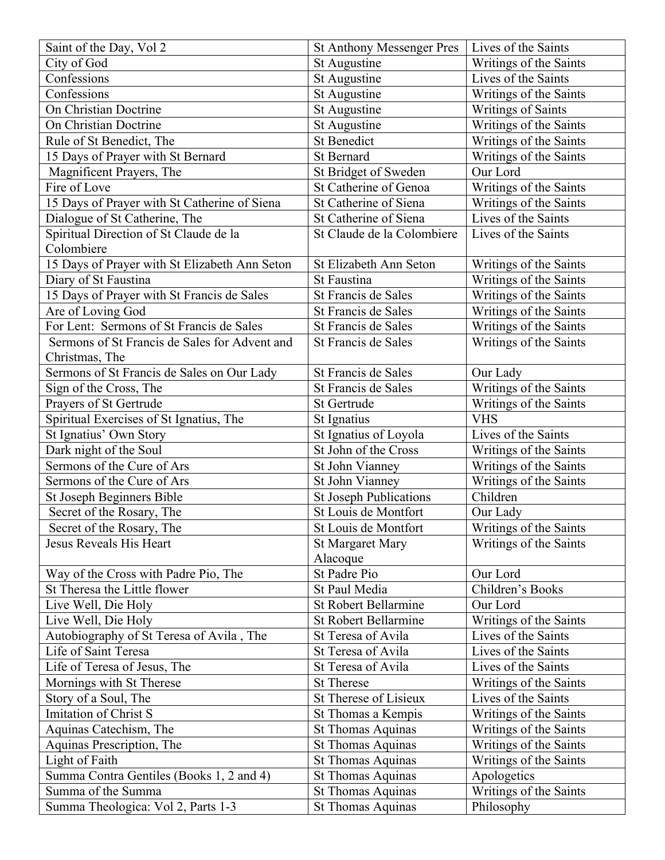| Saint of the Day, Vol 2                       | <b>St Anthony Messenger Pres</b> | Lives of the Saints    |
|-----------------------------------------------|----------------------------------|------------------------|
| City of God                                   | St Augustine                     | Writings of the Saints |
| Confessions                                   | St Augustine                     | Lives of the Saints    |
| Confessions                                   | St Augustine                     | Writings of the Saints |
| On Christian Doctrine                         | St Augustine                     | Writings of Saints     |
| On Christian Doctrine                         | St Augustine                     | Writings of the Saints |
| Rule of St Benedict, The                      | <b>St Benedict</b>               | Writings of the Saints |
| 15 Days of Prayer with St Bernard             | St Bernard                       | Writings of the Saints |
| Magnificent Prayers, The                      | St Bridget of Sweden             | Our Lord               |
| Fire of Love                                  | St Catherine of Genoa            | Writings of the Saints |
| 15 Days of Prayer with St Catherine of Siena  | St Catherine of Siena            | Writings of the Saints |
| Dialogue of St Catherine, The                 | St Catherine of Siena            | Lives of the Saints    |
| Spiritual Direction of St Claude de la        | St Claude de la Colombiere       | Lives of the Saints    |
| Colombiere                                    |                                  |                        |
| 15 Days of Prayer with St Elizabeth Ann Seton | St Elizabeth Ann Seton           | Writings of the Saints |
| Diary of St Faustina                          | St Faustina                      | Writings of the Saints |
| 15 Days of Prayer with St Francis de Sales    | St Francis de Sales              | Writings of the Saints |
| Are of Loving God                             | St Francis de Sales              | Writings of the Saints |
| For Lent: Sermons of St Francis de Sales      | St Francis de Sales              | Writings of the Saints |
| Sermons of St Francis de Sales for Advent and | St Francis de Sales              | Writings of the Saints |
| Christmas, The                                |                                  |                        |
| Sermons of St Francis de Sales on Our Lady    | St Francis de Sales              | Our Lady               |
| Sign of the Cross, The                        | St Francis de Sales              | Writings of the Saints |
| Prayers of St Gertrude                        | St Gertrude                      | Writings of the Saints |
| Spiritual Exercises of St Ignatius, The       | St Ignatius                      | <b>VHS</b>             |
| St Ignatius' Own Story                        | St Ignatius of Loyola            | Lives of the Saints    |
| Dark night of the Soul                        | St John of the Cross             | Writings of the Saints |
| Sermons of the Cure of Ars                    | St John Vianney                  | Writings of the Saints |
| Sermons of the Cure of Ars                    | St John Vianney                  | Writings of the Saints |
| St Joseph Beginners Bible                     | <b>St Joseph Publications</b>    | Children               |
| Secret of the Rosary, The                     | St Louis de Montfort             | Our Lady               |
| Secret of the Rosary, The                     | St Louis de Montfort             | Writings of the Saints |
| Jesus Reveals His Heart                       | <b>St Margaret Mary</b>          | Writings of the Saints |
|                                               | Alacoque                         |                        |
| Way of the Cross with Padre Pio, The          | St Padre Pio                     | Our Lord               |
| St Theresa the Little flower                  | St Paul Media                    | Children's Books       |
| Live Well, Die Holy                           | <b>St Robert Bellarmine</b>      | Our Lord               |
| Live Well, Die Holy                           | <b>St Robert Bellarmine</b>      | Writings of the Saints |
| Autobiography of St Teresa of Avila, The      | St Teresa of Avila               | Lives of the Saints    |
| Life of Saint Teresa                          | St Teresa of Avila               | Lives of the Saints    |
| Life of Teresa of Jesus, The                  | St Teresa of Avila               | Lives of the Saints    |
| Mornings with St Therese                      | <b>St Therese</b>                | Writings of the Saints |
| Story of a Soul, The                          | St Therese of Lisieux            | Lives of the Saints    |
| Imitation of Christ S                         | St Thomas a Kempis               | Writings of the Saints |
| Aquinas Catechism, The                        | <b>St Thomas Aquinas</b>         | Writings of the Saints |
| Aquinas Prescription, The                     | <b>St Thomas Aquinas</b>         | Writings of the Saints |
| Light of Faith                                | <b>St Thomas Aquinas</b>         | Writings of the Saints |
| Summa Contra Gentiles (Books 1, 2 and 4)      | <b>St Thomas Aquinas</b>         | Apologetics            |
| Summa of the Summa                            | <b>St Thomas Aquinas</b>         | Writings of the Saints |
| Summa Theologica: Vol 2, Parts 1-3            | <b>St Thomas Aquinas</b>         | Philosophy             |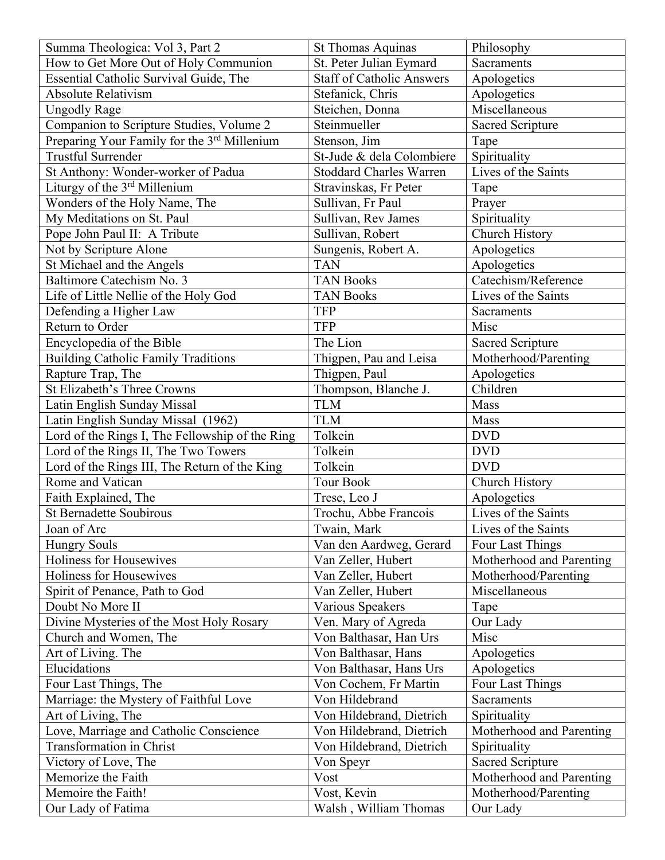| Summa Theologica: Vol 3, Part 2                 | <b>St Thomas Aquinas</b>         | Philosophy               |
|-------------------------------------------------|----------------------------------|--------------------------|
| How to Get More Out of Holy Communion           | St. Peter Julian Eymard          | <b>Sacraments</b>        |
| Essential Catholic Survival Guide, The          | <b>Staff of Catholic Answers</b> | Apologetics              |
| <b>Absolute Relativism</b>                      | Stefanick, Chris                 | Apologetics              |
| <b>Ungodly Rage</b>                             | Steichen, Donna                  | Miscellaneous            |
| Companion to Scripture Studies, Volume 2        | Steinmueller                     | <b>Sacred Scripture</b>  |
| Preparing Your Family for the 3rd Millenium     | Stenson, Jim                     | Tape                     |
| <b>Trustful Surrender</b>                       | St-Jude & dela Colombiere        | Spirituality             |
| St Anthony: Wonder-worker of Padua              | <b>Stoddard Charles Warren</b>   | Lives of the Saints      |
| Liturgy of the 3rd Millenium                    | Stravinskas, Fr Peter            | Tape                     |
| Wonders of the Holy Name, The                   | Sullivan, Fr Paul                | Prayer                   |
| My Meditations on St. Paul                      | Sullivan, Rev James              | Spirituality             |
| Pope John Paul II: A Tribute                    | Sullivan, Robert                 | Church History           |
| Not by Scripture Alone                          | Sungenis, Robert A.              | Apologetics              |
| St Michael and the Angels                       | <b>TAN</b>                       | Apologetics              |
| Baltimore Catechism No. 3                       | <b>TAN Books</b>                 | Catechism/Reference      |
| Life of Little Nellie of the Holy God           | <b>TAN Books</b>                 | Lives of the Saints      |
| Defending a Higher Law                          | <b>TFP</b>                       | Sacraments               |
| Return to Order                                 | <b>TFP</b>                       | Misc                     |
| Encyclopedia of the Bible                       | The Lion                         | <b>Sacred Scripture</b>  |
| <b>Building Catholic Family Traditions</b>      | Thigpen, Pau and Leisa           | Motherhood/Parenting     |
| Rapture Trap, The                               | Thigpen, Paul                    | Apologetics              |
| St Elizabeth's Three Crowns                     | Thompson, Blanche J.             | Children                 |
| Latin English Sunday Missal                     | <b>TLM</b>                       | Mass                     |
| Latin English Sunday Missal (1962)              | <b>TLM</b>                       | Mass                     |
| Lord of the Rings I, The Fellowship of the Ring | Tolkein                          | <b>DVD</b>               |
| Lord of the Rings II, The Two Towers            | Tolkein                          | <b>DVD</b>               |
| Lord of the Rings III, The Return of the King   | Tolkein                          | <b>DVD</b>               |
| Rome and Vatican                                | <b>Tour Book</b>                 | Church History           |
| Faith Explained, The                            | Trese, Leo J                     | Apologetics              |
| St Bernadette Soubirous                         | Trochu, Abbe Francois            | Lives of the Saints      |
| Joan of Arc                                     | Twain, Mark                      | Lives of the Saints      |
| <b>Hungry Souls</b>                             | Van den Aardweg, Gerard          | Four Last Things         |
| Holiness for Housewives                         | Van Zeller, Hubert               | Motherhood and Parenting |
| Holiness for Housewives                         | Van Zeller, Hubert               | Motherhood/Parenting     |
| Spirit of Penance, Path to God                  | Van Zeller, Hubert               | Miscellaneous            |
| Doubt No More II                                | Various Speakers                 | Tape                     |
| Divine Mysteries of the Most Holy Rosary        | Ven. Mary of Agreda              | Our Lady                 |
| Church and Women, The                           | Von Balthasar, Han Urs           | Misc                     |
| Art of Living. The                              | Von Balthasar, Hans              | Apologetics              |
| Elucidations                                    | Von Balthasar, Hans Urs          | Apologetics              |
| Four Last Things, The                           | Von Cochem, Fr Martin            | Four Last Things         |
| Marriage: the Mystery of Faithful Love          | Von Hildebrand                   | Sacraments               |
| Art of Living, The                              | Von Hildebrand, Dietrich         | Spirituality             |
| Love, Marriage and Catholic Conscience          | Von Hildebrand, Dietrich         | Motherhood and Parenting |
| Transformation in Christ                        | Von Hildebrand, Dietrich         | Spirituality             |
| Victory of Love, The                            | Von Speyr                        | <b>Sacred Scripture</b>  |
| Memorize the Faith                              | Vost                             | Motherhood and Parenting |
| Memoire the Faith!                              | Vost, Kevin                      | Motherhood/Parenting     |
| Our Lady of Fatima                              | Walsh, William Thomas            | Our Lady                 |